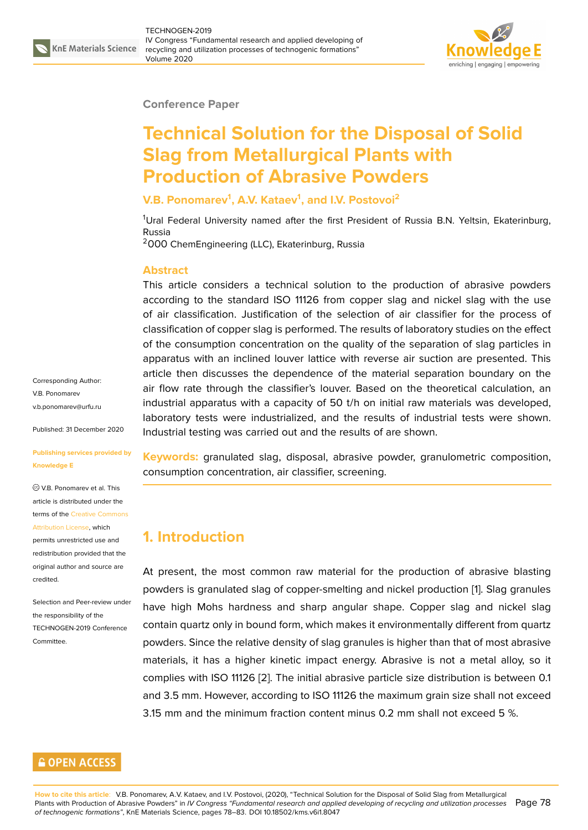

#### **Conference Paper**

# **Technical Solution for the Disposal of Solid Slag from Metallurgical Plants with Production of Abrasive Powders**

#### **V.B. Ponomarev<sup>1</sup> , A.V. Kataev<sup>1</sup> , and I.V. Postovoi<sup>2</sup>**

 $1$ Ural Federal University named after the first President of Russia B.N. Yeltsin, Ekaterinburg, Russia

<sup>2</sup>ООО ChemEngineering (LLC), Ekaterinburg, Russia

#### **Abstract**

This article considers a technical solution to the production of abrasive powders according to the standard ISO 11126 from copper slag and nickel slag with the use of air classification. Justification of the selection of air classifier for the process of classification of copper slag is performed. The results of laboratory studies on the effect of the consumption concentration on the quality of the separation of slag particles in apparatus with an inclined louver lattice with reverse air suction are presented. This article then discusses the dependence of the material separation boundary on the air flow rate through the classifier's louver. Based on the theoretical calculation, an industrial apparatus with a capacity of 50 t/h on initial raw materials was developed, laboratory tests were industrialized, and the results of industrial tests were shown. Industrial testing was carried out and the results of are shown.

**Keywords:** granulated slag, disposal, abrasive powder, granulometric composition, consumption concentration, air classifier, screening.

# **1. Introduction**

At present, the most common raw material for the production of abrasive blasting powders is granulated slag of copper-smelting and nickel production [1]. Slag granules have high Mohs hardness and sharp angular shape. Copper slag and nickel slag contain quartz only in bound form, which makes it environmentally different from quartz powders. Since the relative density of slag granules is higher than that [o](#page-4-0)f most abrasive materials, it has a higher kinetic impact energy. Abrasive is not a metal alloy, so it complies with ISO 11126 [2]. The initial abrasive particle size distribution is between 0.1 and 3.5 mm. However, according to ISO 11126 the maximum grain size shall not exceed 3.15 mm and the minimum fraction content minus 0.2 mm shall not exceed 5 %.

Corresponding Author: V.B. Ponomarev v.b.ponomarev@urfu.ru

Published: 31 December 2020

#### **[Publishing services pro](mailto:v.b.ponomarev@urfu.ru)vided by Knowledge E**

V.B. Ponomarev et al. This article is distributed under the terms of the Creative Commons Attribution License, which

permits unrestricted use and redistribution provided that the original auth[or and source are](https://creativecommons.org/licenses/by/4.0/) [credited.](https://creativecommons.org/licenses/by/4.0/)

Selection and Peer-review under the responsibility of the TECHNOGEN-2019 Conference Committee.

### **GOPEN ACCESS**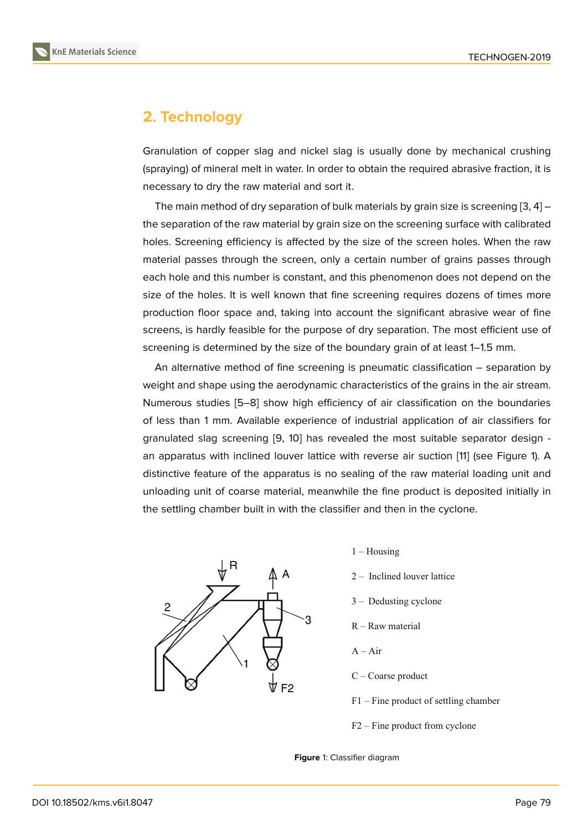## **2. Technology**

Granulation of copper slag and nickel slag is usually done by mechanical crushing (spraying) of mineral melt in water. In order to obtain the required abrasive fraction, it is necessary to dry the raw material and sort it.

The main method of dry separation of bulk materials by grain size is screening  $[3, 4]$  – the separation of the raw material by grain size on the screening surface with calibrated holes. Screening efficiency is affected by the size of the screen holes. When the raw material passes through the screen, only a certain number of grains passes t[hro](#page-4-1)[ug](#page-4-2)h each hole and this number is constant, and this phenomenon does not depend on the size of the holes. It is well known that fine screening requires dozens of times more production floor space and, taking into account the significant abrasive wear of fine screens, is hardly feasible for the purpose of dry separation. The most efficient use of screening is determined by the size of the boundary grain of at least 1–1.5 mm.

An alternative method of fine screening is pneumatic classification – separation by weight and shape using the aerodynamic characteristics of the grains in the air stream. Numerous studies [5–8] show high efficiency of air classification on the boundaries of less than 1 mm. Available experience of industrial application of air classifiers for granulated slag screening [9, 10] has revealed the most suitable separator design an apparatus with i[nc](#page-4-3)l[in](#page-5-0)ed louver lattice with reverse air suction [11] (see Figure 1). A distinctive feature of the apparatus is no sealing of the raw material loading unit and unloading unit of coarse m[ate](#page-5-1)[ria](#page-5-2)l, meanwhile the fine product is deposited initially in the settling chamber built in with the classifier and then in the cycl[on](#page-5-3)e.



- $1 -$ Housing
- 2 Inclined louver lattice
- 3 Dedusting cyclone
- R Raw material
- $A Air$
- C Coarse product
- F1 Fine product of settling chamber
- F2 Fine product from cyclone
- **Figure** 1: Classifier diagram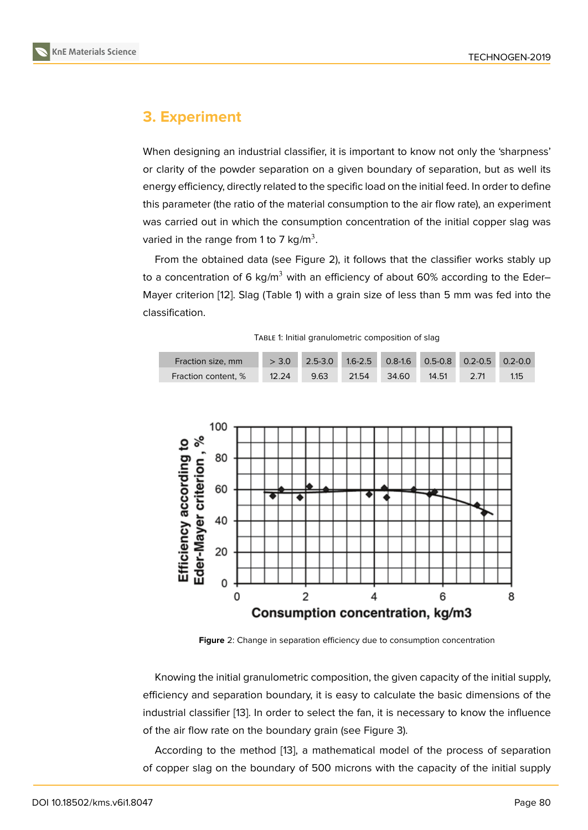# **3. Experiment**

When designing an industrial classifier, it is important to know not only the 'sharpness' or clarity of the powder separation on a given boundary of separation, but as well its energy efficiency, directly related to the specific load on the initial feed. In order to define this parameter (the ratio of the material consumption to the air flow rate), an experiment was carried out in which the consumption concentration of the initial copper slag was varied in the range from 1 to 7 kg/m $^3.$ 

From the obtained data (see Figure 2), it follows that the classifier works stably up to a concentration of 6 kg/m<sup>3</sup> with an efficiency of about 60% according to the Eder– Mayer criterion [12]. Slag (Table 1) with a grain size of less than 5 mm was fed into the classification.

|  | TABLE 1: Initial granulometric composition of slag |  |
|--|----------------------------------------------------|--|
|  |                                                    |  |





**Figure** 2: Change in separation efficiency due to consumption concentration

Knowing the initial granulometric composition, the given capacity of the initial supply, efficiency and separation boundary, it is easy to calculate the basic dimensions of the industrial classifier [13]. In order to select the fan, it is necessary to know the influence of the air flow rate on the boundary grain (see Figure 3).

According to the method [13], a mathematical model of the process of separation of copper slag on t[he](#page-5-4) boundary of 500 microns with the capacity of the initial supply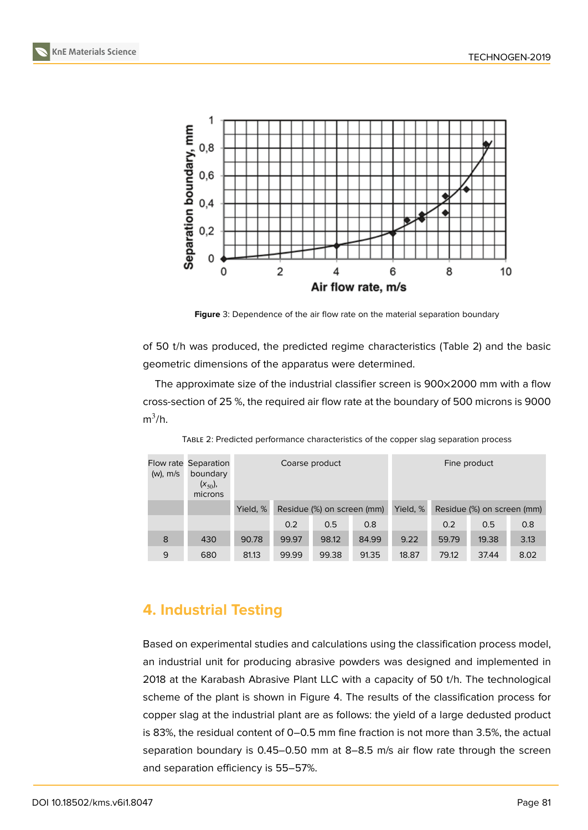

**Figure** 3: Dependence of the air flow rate on the material separation boundary

of 50 t/h was produced, the predicted regime characteristics (Table 2) and the basic geometric dimensions of the apparatus were determined.

The approximate size of the industrial classifier screen is 900×2000 mm with a flow cross-section of 25 %, the required air flow rate at the boundary of 500 microns is 9000  $m^3/h$ .

| $(w)$ , m/s | Flow rate Separation<br>boundary<br>$(x_{50}),$<br>microns | Coarse product |                            |       |       | Fine product |                            |       |      |
|-------------|------------------------------------------------------------|----------------|----------------------------|-------|-------|--------------|----------------------------|-------|------|
|             |                                                            | Yield, %       | Residue (%) on screen (mm) |       |       | Yield, %     | Residue (%) on screen (mm) |       |      |
|             |                                                            |                | 0.2                        | 0.5   | 0.8   |              | 0.2                        | 0.5   | 0.8  |
| 8           | 430                                                        | 90.78          | 99.97                      | 98.12 | 84.99 | 9.22         | 59.79                      | 19.38 | 3.13 |
| 9           | 680                                                        | 81.13          | 99.99                      | 99.38 | 91.35 | 18.87        | 79.12                      | 37.44 | 8.02 |

TABLE 2: Predicted performance characteristics of the copper slag separation process

# **4. Industrial Testing**

Based on experimental studies and calculations using the classification process model, an industrial unit for producing abrasive powders was designed and implemented in 2018 at the Karabash Abrasive Plant LLC with a capacity of 50 t/h. The technological scheme of the plant is shown in Figure 4. The results of the classification process for copper slag at the industrial plant are as follows: the yield of a large dedusted product is 83%, the residual content of 0–0.5 mm fine fraction is not more than 3.5%, the actual separation boundary is 0.45–0.50 mm [at](#page-4-4) 8–8.5 m/s air flow rate through the screen and separation efficiency is 55–57%.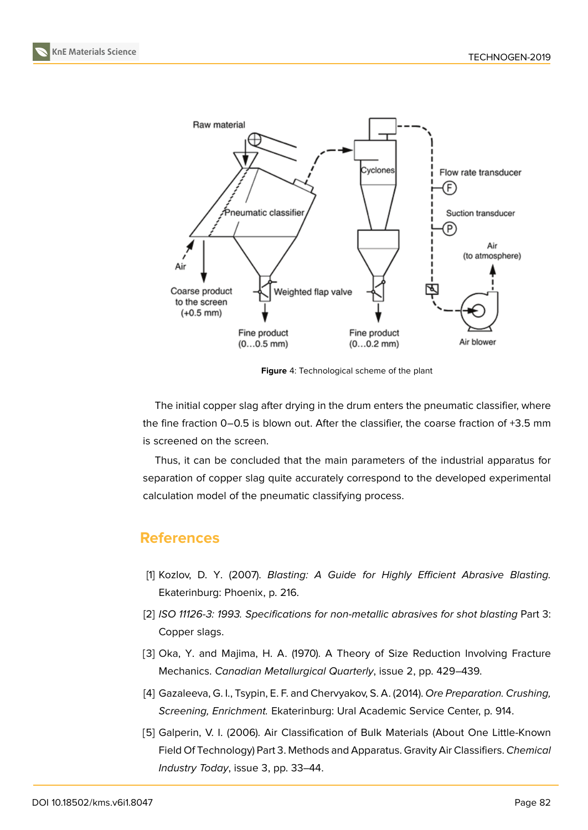**KnE Materials Science**



<span id="page-4-4"></span>**Figure** 4: Technological scheme of the plant

The initial copper slag after drying in the drum enters the pneumatic classifier, where the fine fraction 0–0.5 is blown out. After the classifier, the coarse fraction of +3.5 mm is screened on the screen.

Thus, it can be concluded that the main parameters of the industrial apparatus for separation of copper slag quite accurately correspond to the developed experimental calculation model of the pneumatic classifying process.

## **References**

- <span id="page-4-0"></span>[1] Kozlov, D. Y. (2007). *Blasting: A Guide for Highly Efficient Abrasive Blasting.* Ekaterinburg: Phoenix, p. 216.
- [2] *ISO 11126-3: 1993. Specifications for non-metallic abrasives for shot blasting* Part 3: Copper slags.
- <span id="page-4-1"></span>[3] Oka, Y. and Majima, H. A. (1970). A Theory of Size Reduction Involving Fracture Mechanics. *Canadian Metallurgical Quarterly*, issue 2, pp. 429–439.
- <span id="page-4-2"></span>[4] Gazaleeva, G. I., Tsypin, E. F. and Chervyakov, S. A. (2014). *Ore Preparation. Crushing, Screening, Enrichment.* Ekaterinburg: Ural Academic Service Center, p. 914.
- <span id="page-4-3"></span>[5] Galperin, V. I. (2006). Air Classification of Bulk Materials (About One Little-Known Field Of Technology) Part 3. Methods and Apparatus. Gravity Air Classifiers. *Chemical Industry Today*, issue 3, pp. 33–44.